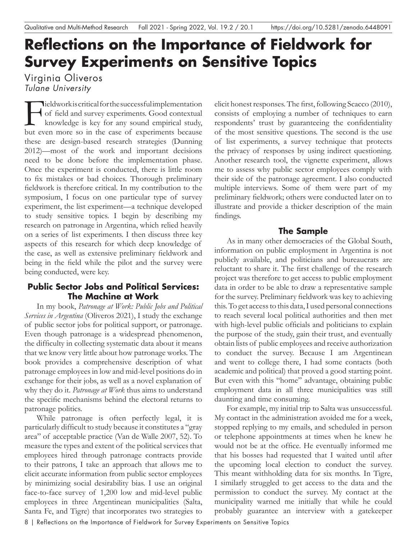# **Reflections on the Importance of Fieldwork for Survey Experiments on Sensitive Topics**

## Virginia Oliveros *Tulane University*

Fieldwork is critical for the successful implementation<br>of field and survey experiments. Good contextual<br>knowledge is key for any sound empirical study,<br>but even more so in the case of experiments because of feld and survey experiments. Good contextual knowledge is key for any sound empirical study, but even more so in the case of experiments because these are design-based research strategies (Dunning 2012)—most of the work and important decisions need to be done before the implementation phase. Once the experiment is conducted, there is little room to fx mistakes or bad choices. Thorough preliminary feldwork is therefore critical. In my contribution to the symposium, I focus on one particular type of survey experiment, the list experiment—a technique developed to study sensitive topics. I begin by describing my research on patronage in Argentina, which relied heavily on a series of list experiments. I then discuss three key aspects of this research for which deep knowledge of the case, as well as extensive preliminary feldwork and being in the feld while the pilot and the survey were being conducted, were key.

## **Public Sector Jobs and Political Services: The Machine at Work**

In my book, *Patronage at Work: Public Jobs and Political Services in Argentina* (Oliveros 2021), I study the exchange of public sector jobs for political support, or patronage. Even though patronage is a widespread phenomenon, the diffculty in collecting systematic data about it means that we know very little about how patronage works. The book provides a comprehensive description of what patronage employees in low and mid-level positions do in exchange for their jobs, as well as a novel explanation of why they do it. *Patronage at Work* thus aims to understand the specifc mechanisms behind the electoral returns to patronage politics.

While patronage is often perfectly legal, it is particularly diffcult to study because it constitutes a "gray area" of acceptable practice (Van de Walle 2007, 52). To measure the types and extent of the political services that employees hired through patronage contracts provide to their patrons, I take an approach that allows me to elicit accurate information from public sector employees by minimizing social desirability bias. I use an original face-to-face survey of 1,200 low and mid-level public employees in three Argentinean municipalities (Salta, Santa Fe, and Tigre) that incorporates two strategies to

elicit honest responses. The frst, following Scacco (2010), consists of employing a number of techniques to earn respondents' trust by guaranteeing the confdentiality of the most sensitive questions. The second is the use of list experiments, a survey technique that protects the privacy of responses by using indirect questioning. Another research tool, the vignette experiment, allows me to assess why public sector employees comply with their side of the patronage agreement. I also conducted multiple interviews. Some of them were part of my preliminary feldwork; others were conducted later on to illustrate and provide a thicker description of the main fndings.

## **The Sample**

As in many other democracies of the Global South, information on public employment in Argentina is not publicly available, and politicians and bureaucrats are reluctant to share it. The frst challenge of the research project was therefore to get access to public employment data in order to be able to draw a representative sample for the survey. Preliminary feldwork was key to achieving this. To get access to this data, I used personal connections to reach several local political authorities and then met with high-level public officials and politicians to explain the purpose of the study, gain their trust, and eventually obtain lists of public employees and receive authorization to conduct the survey. Because I am Argentinean and went to college there, I had some contacts (both academic and political) that proved a good starting point. But even with this "home" advantage, obtaining public employment data in all three municipalities was still daunting and time consuming.

For example, my initial trip to Salta was unsuccessful. My contact in the administration avoided me for a week, stopped replying to my emails, and scheduled in person or telephone appointments at times when he knew he would not be at the office. He eventually informed me that his bosses had requested that I waited until after the upcoming local election to conduct the survey. This meant withholding data for six months. In Tigre, I similarly struggled to get access to the data and the permission to conduct the survey. My contact at the municipality warned me initially that while he could probably guarantee an interview with a gatekeeper

<sup>8 |</sup> Reflections on the Importance of Fieldwork for Survey Experiments on Sensitive Topics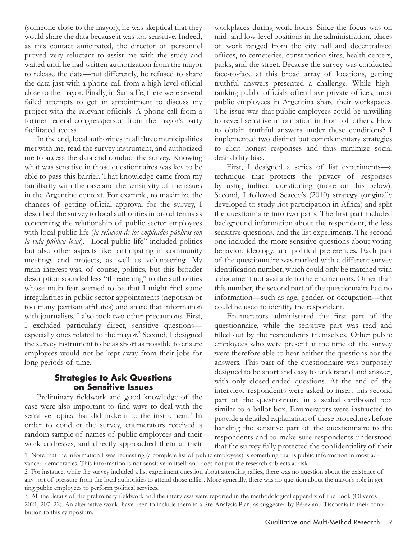(someone close to the mayor), he was skeptical that they would share the data because it was too sensitive. Indeed, as this contact anticipated, the director of personnel proved very reluctant to assist me with the study and waited until he had written authorization from the mayor to release the data—put differently, he refused to share the data just with a phone call from a high-level official close to the mayor. Finally, in Santa Fe, there were several failed attempts to get an appointment to discuss my project with the relevant officials. A phone call from a former federal congressperson from the mayor's party facilitated access.<sup>1</sup>

In the end, local authorities in all three municipalities met with me, read the survey instrument, and authorized me to access the data and conduct the survey. Knowing what was sensitive in those questionnaires was key to be able to pass this barrier. That knowledge came from my familiarity with the case and the sensitivity of the issues in the Argentine context. For example, to maximize the chances of getting official approval for the survey, I described the survey to local authorities in broad terms as concerning the relationship of public sector employees with local public life (*la relación de los empleados públicos con la vida pública local*). "Local public life" included politics but also other aspects like participating in community meetings and projects, as well as volunteering. My main interest was, of course, politics, but this broader description sounded less "threatening" to the authorities whose main fear seemed to be that I might fnd some irregularities in public sector appointments (nepotism or too many partisan affliates) and share that information with journalists. I also took two other precautions. First, I excluded particularly direct, sensitive questions especially ones related to the mayor.<sup>2</sup> Second, I designed the survey instrument to be as short as possible to ensure employees would not be kept away from their jobs for long periods of time.

#### **Strategies to Ask Questions on Sensitive Issues**

Preliminary feldwork and good knowledge of the case were also important to fnd ways to deal with the sensitive topics that did make it to the instrument.<sup>3</sup> In order to conduct the survey, enumerators received a random sample of names of public employees and their work addresses, and directly approached them at their

workplaces during work hours. Since the focus was on mid- and low-level positions in the administration, places of work ranged from the city hall and decentralized offices, to cemeteries, construction sites, health centers, parks, and the street. Because the survey was conducted face-to-face at this broad array of locations, getting truthful answers presented a challenge. While highranking public officials often have private offices, most public employees in Argentina share their workspaces. The issue was that public employees could be unwilling to reveal sensitive information in front of others. How to obtain truthful answers under these conditions? I implemented two distinct but complementary strategies to elicit honest responses and thus minimize social desirability bias.

First, I designed a series of list experiments—a technique that protects the privacy of responses by using indirect questioning (more on this below). Second, I followed Scacco's (2010) strategy (originally developed to study riot participation in Africa) and split the questionnaire into two parts. The frst part included background information about the respondent, the less sensitive questions, and the list experiments. The second one included the more sensitive questions about voting behavior, ideology, and political preferences. Each part of the questionnaire was marked with a different survey identifcation number, which could only be matched with a document not available to the enumerators. Other than this number, the second part of the questionnaire had no information—such as age, gender, or occupation—that could be used to identify the respondent.

Enumerators administered the frst part of the questionnaire, while the sensitive part was read and flled out by the respondents themselves. Other public employees who were present at the time of the survey were therefore able to hear neither the questions nor the answers. This part of the questionnaire was purposely designed to be short and easy to understand and answer, with only closed-ended questions. At the end of the interview, respondents were asked to insert this second part of the questionnaire in a sealed cardboard box similar to a ballot box. Enumerators were instructed to provide a detailed explanation of these procedures before handing the sensitive part of the questionnaire to the respondents and to make sure respondents understood that the survey fully protected the confdentiality of their

1 Note that the information I was requesting (a complete list of public employees) is something that is public information in most advanced democracies. This information is not sensitive in itself and does not put the research subjects at risk.

<sup>2</sup> For instance, while the survey included a list experiment question about attending rallies, there was no question about the existence of any sort of pressure from the local authorities to attend those rallies. More generally, there was no question about the mayor's role in getting public employees to perform political services.

<sup>3</sup> All the details of the preliminary feldwork and the interviews were reported in the methodological appendix of the book (Oliveros 2021, 207–22). An alternative would have been to include them in a Pre-Analysis Plan, as suggested by Pérez and Tiscornia in their contribution to this symposium.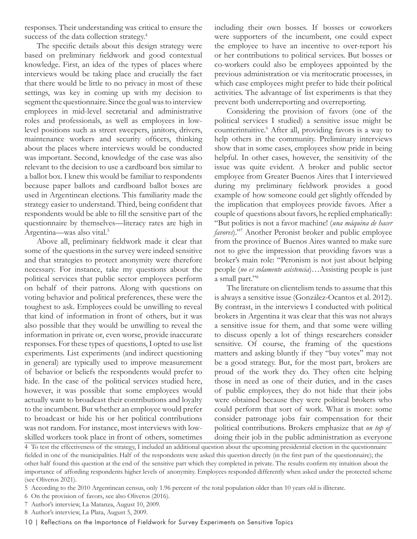responses. Their understanding was critical to ensure the success of the data collection strategy.<sup>4</sup>

The specifc details about this design strategy were based on preliminary feldwork and good contextual knowledge. First, an idea of the types of places where interviews would be taking place and crucially the fact that there would be little to no privacy in most of these settings, was key in coming up with my decision to segment the questionnaire. Since the goal was to interview employees in mid-level secretarial and administrative roles and professionals, as well as employees in lowlevel positions such as street sweepers, janitors, drivers, maintenance workers and security officers, thinking about the places where interviews would be conducted was important. Second, knowledge of the case was also relevant to the decision to use a cardboard box similar to a ballot box. I knew this would be familiar to respondents because paper ballots and cardboard ballot boxes are used in Argentinean elections. This familiarity made the strategy easier to understand. Third, being confdent that respondents would be able to fll the sensitive part of the questionnaire by themselves—literacy rates are high in Argentina—was also vital.5

Above all, preliminary feldwork made it clear that some of the questions in the survey were indeed sensitive and that strategies to protect anonymity were therefore necessary. For instance, take my questions about the political services that public sector employees perform on behalf of their patrons. Along with questions on voting behavior and political preferences, these were the toughest to ask. Employees could be unwilling to reveal that kind of information in front of others, but it was also possible that they would be unwilling to reveal the information in private or, even worse, provide inaccurate responses. For these types of questions, I opted to use list experiments. List experiments (and indirect questioning in general) are typically used to improve measurement of behavior or beliefs the respondents would prefer to hide. In the case of the political services studied here, however, it was possible that some employees would actually want to broadcast their contributions and loyalty to the incumbent. But whether an employee would prefer to broadcast or hide his or her political contributions was not random. For instance, most interviews with lowskilled workers took place in front of others, sometimes

including their own bosses. If bosses or coworkers were supporters of the incumbent, one could expect the employee to have an incentive to over-report his or her contributions to political services. But bosses or co-workers could also be employees appointed by the previous administration or via meritocratic processes, in which case employees might prefer to hide their political activities. The advantage of list experiments is that they prevent both underreporting and overreporting.

Considering the provision of favors (one of the political services I studied) a sensitive issue might be counterintuitive.6 After all, providing favors is a way to help others in the community. Preliminary interviews show that in some cases, employees show pride in being helpful. In other cases, however, the sensitivity of the issue was quite evident. A broker and public sector employee from Greater Buenos Aires that I interviewed during my preliminary feldwork provides a good example of how someone could get slightly offended by the implication that employees provide favors. After a couple of questions about favors, he replied emphatically: "But politics is not a favor machine! (*una máquina de hacer favores*)."7 Another Peronist broker and public employee from the province of Buenos Aires wanted to make sure not to give the impression that providing favors was a broker's main role: "Peronism is not just about helping people (*no es solamente asistencia*)…Assisting people is just a small part."8

The literature on clientelism tends to assume that this is always a sensitive issue (González‐Ocantos et al. 2012). By contrast, in the interviews I conducted with political brokers in Argentina it was clear that this was not always a sensitive issue for them, and that some were willing to discuss openly a lot of things researchers consider sensitive. Of course, the framing of the questions matters and asking bluntly if they "buy votes" may not be a good strategy. But, for the most part, brokers are proud of the work they do. They often cite helping those in need as one of their duties, and in the cases of public employees, they do not hide that their jobs were obtained because they were political brokers who could perform that sort of work. What is more: some consider patronage jobs fair compensation for their political contributions. Brokers emphasize that *on top of*  doing their job in the public administration as everyone

4 To test the effectiveness of the strategy, I included an additional question about the upcoming presidential election in the questionnaire felded in one of the municipalities. Half of the respondents were asked this question directly (in the frst part of the questionnaire); the other half found this question at the end of the sensitive part which they completed in private. The results confrm my intuition about the importance of affording respondents higher levels of anonymity. Employees responded differently when asked under the protected scheme (see Oliveros 2021).

<sup>5</sup> According to the 2010 Argentinean census, only 1.96 percent of the total population older than 10 years old is illiterate.

<sup>6</sup> On the provision of favors, see also Oliveros (2016).

<sup>7</sup> Author's interview, La Matanza, August 10, 2009.

<sup>8</sup> Author's interview, La Plata, August 5, 2009.

<sup>10 |</sup> Reflections on the Importance of Fieldwork for Survey Experiments on Sensitive Topics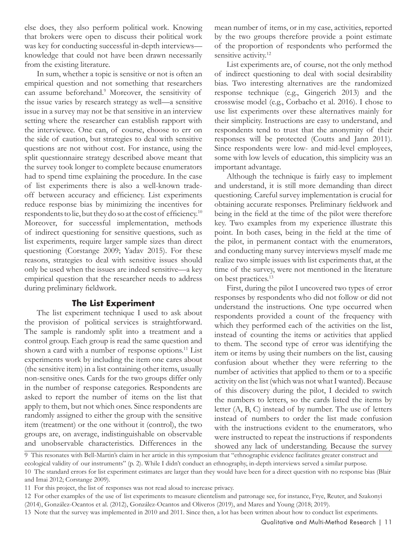else does, they also perform political work. Knowing that brokers were open to discuss their political work was key for conducting successful in-depth interviews knowledge that could not have been drawn necessarily from the existing literature.

In sum, whether a topic is sensitive or not is often an empirical question and not something that researchers can assume beforehand.<sup>9</sup> Moreover, the sensitivity of the issue varies by research strategy as well—a sensitive issue in a survey may not be that sensitive in an interview setting where the researcher can establish rapport with the interviewee. One can, of course, choose to err on the side of caution, but strategies to deal with sensitive questions are not without cost. For instance, using the split questionnaire strategy described above meant that the survey took longer to complete because enumerators had to spend time explaining the procedure. In the case of list experiments there is also a well-known tradeoff between accuracy and effciency. List experiments reduce response bias by minimizing the incentives for respondents to lie, but they do so at the cost of efficiency.<sup>10</sup> Moreover, for successful implementation, methods of indirect questioning for sensitive questions, such as list experiments, require larger sample sizes than direct questioning (Corstange 2009; Yadav 2015). For these reasons, strategies to deal with sensitive issues should only be used when the issues are indeed sensitive—a key empirical question that the researcher needs to address during preliminary feldwork.

#### **The List Experiment**

The list experiment technique I used to ask about the provision of political services is straightforward. The sample is randomly split into a treatment and a control group. Each group is read the same question and shown a card with a number of response options.<sup>11</sup> List experiments work by including the item one cares about (the sensitive item) in a list containing other items, usually non-sensitive ones. Cards for the two groups differ only in the number of response categories. Respondents are asked to report the number of items on the list that apply to them, but not which ones. Since respondents are randomly assigned to either the group with the sensitive item (treatment) or the one without it (control), the two groups are, on average, indistinguishable on observable and unobservable characteristics. Differences in the

mean number of items, or in my case, activities, reported by the two groups therefore provide a point estimate of the proportion of respondents who performed the sensitive activity.<sup>12</sup>

List experiments are, of course, not the only method of indirect questioning to deal with social desirability bias. Two interesting alternatives are the randomized response technique (e.g., Gingerich 2013) and the crosswise model (e.g., Corbacho et al. 2016). I chose to use list experiments over these alternatives mainly for their simplicity. Instructions are easy to understand, and respondents tend to trust that the anonymity of their responses will be protected (Coutts and Jann 2011). Since respondents were low- and mid-level employees, some with low levels of education, this simplicity was an important advantage.

Although the technique is fairly easy to implement and understand, it is still more demanding than direct questioning. Careful survey implementation is crucial for obtaining accurate responses. Preliminary feldwork and being in the feld at the time of the pilot were therefore key. Two examples from my experience illustrate this point. In both cases, being in the feld at the time of the pilot, in permanent contact with the enumerators, and conducting many survey interviews myself made me realize two simple issues with list experiments that, at the time of the survey, were not mentioned in the literature on best practices.13

First, during the pilot I uncovered two types of error responses by respondents who did not follow or did not understand the instructions. One type occurred when respondents provided a count of the frequency with which they performed each of the activities on the list, instead of counting the items or activities that applied to them. The second type of error was identifying the item or items by using their numbers on the list, causing confusion about whether they were referring to the number of activities that applied to them or to a specifc activity on the list (which was not what I wanted). Because of this discovery during the pilot, I decided to switch the numbers to letters, so the cards listed the items by letter (A, B, C) instead of by number. The use of letters instead of numbers to order the list made confusion with the instructions evident to the enumerators, who were instructed to repeat the instructions if respondents showed any lack of understanding. Because the survey

9 This resonates with Bell-Martin's claim in her article in this symposium that "ethnographic evidence facilitates greater construct and ecological validity of our instruments" (p. 2). While I didn't conduct an ethnography, in-depth interviews served a similar purpose. 10 The standard errors for list experiment estimates are larger than they would have been for a direct question with no response bias (Blair and Imai 2012; Corstange 2009).

<sup>11</sup> For this project, the list of responses was not read aloud to increase privacy.

<sup>12</sup> For other examples of the use of list experiments to measure clientelism and patronage see, for instance, Frye, Reuter, and Szakonyi

<sup>(2014),</sup> González-Ocantos et al. (2012), González-Ocantos and Oliveros (2019), and Mares and Young (2018; 2019).

<sup>13</sup> Note that the survey was implemented in 2010 and 2011. Since then, a lot has been written about how to conduct list experiments.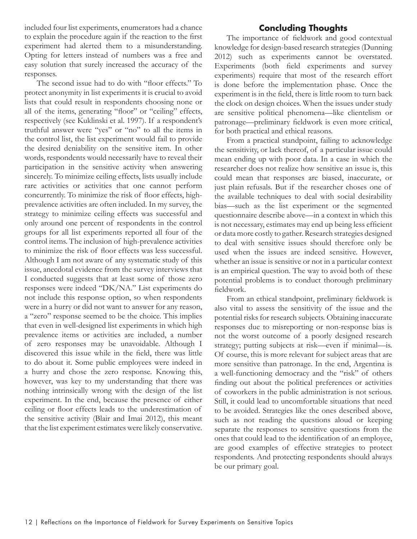included four list experiments, enumerators had a chance to explain the procedure again if the reaction to the frst experiment had alerted them to a misunderstanding. Opting for letters instead of numbers was a free and easy solution that surely increased the accuracy of the responses.

The second issue had to do with "floor effects." To protect anonymity in list experiments it is crucial to avoid lists that could result in respondents choosing none or all of the items, generating "foor" or "ceiling" effects, respectively (see Kuklinski et al. 1997). If a respondent's truthful answer were "yes" or "no" to all the items in the control list, the list experiment would fail to provide the desired deniability on the sensitive item. In other words, respondents would necessarily have to reveal their participation in the sensitive activity when answering sincerely. To minimize ceiling effects, lists usually include rare activities or activities that one cannot perform concurrently. To minimize the risk of floor effects, highprevalence activities are often included. In my survey, the strategy to minimize ceiling effects was successful and only around one percent of respondents in the control groups for all list experiments reported all four of the control items. The inclusion of high-prevalence activities to minimize the risk of foor effects was less successful. Although I am not aware of any systematic study of this issue, anecdotal evidence from the survey interviews that I conducted suggests that at least some of those zero responses were indeed "DK/NA." List experiments do not include this response option, so when respondents were in a hurry or did not want to answer for any reason, a "zero" response seemed to be the choice. This implies that even in well-designed list experiments in which high prevalence items or activities are included, a number of zero responses may be unavoidable. Although I discovered this issue while in the feld, there was little to do about it. Some public employees were indeed in a hurry and chose the zero response. Knowing this, however, was key to my understanding that there was nothing intrinsically wrong with the design of the list experiment. In the end, because the presence of either ceiling or foor effects leads to the underestimation of the sensitive activity (Blair and Imai 2012), this meant that the list experiment estimates were likely conservative.

# **Concluding Thoughts**

The importance of feldwork and good contextual knowledge for design-based research strategies (Dunning 2012) such as experiments cannot be overstated. Experiments (both feld experiments and survey experiments) require that most of the research effort is done before the implementation phase. Once the experiment is in the feld, there is little room to turn back the clock on design choices. When the issues under study are sensitive political phenomena—like clientelism or patronage—preliminary feldwork is even more critical, for both practical and ethical reasons.

From a practical standpoint, failing to acknowledge the sensitivity, or lack thereof, of a particular issue could mean ending up with poor data. In a case in which the researcher does not realize how sensitive an issue is, this could mean that responses are biased, inaccurate, or just plain refusals. But if the researcher choses one of the available techniques to deal with social desirability bias—such as the list experiment or the segmented questionnaire describe above—in a context in which this is not necessary, estimates may end up being less effcient or data more costly to gather. Research strategies designed to deal with sensitive issues should therefore only be used when the issues are indeed sensitive. However, whether an issue is sensitive or not in a particular context is an empirical question. The way to avoid both of these potential problems is to conduct thorough preliminary feldwork.

From an ethical standpoint, preliminary feldwork is also vital to assess the sensitivity of the issue and the potential risks for research subjects. Obtaining inaccurate responses due to misreporting or non-response bias is not the worst outcome of a poorly designed research strategy; putting subjects at risk—even if minimal—is. Of course, this is more relevant for subject areas that are more sensitive than patronage. In the end, Argentina is a well-functioning democracy and the "risk" of others fnding out about the political preferences or activities of coworkers in the public administration is not serious. Still, it could lead to uncomfortable situations that need to be avoided. Strategies like the ones described above, such as not reading the questions aloud or keeping separate the responses to sensitive questions from the ones that could lead to the identifcation of an employee, are good examples of effective strategies to protect respondents. And protecting respondents should always be our primary goal.